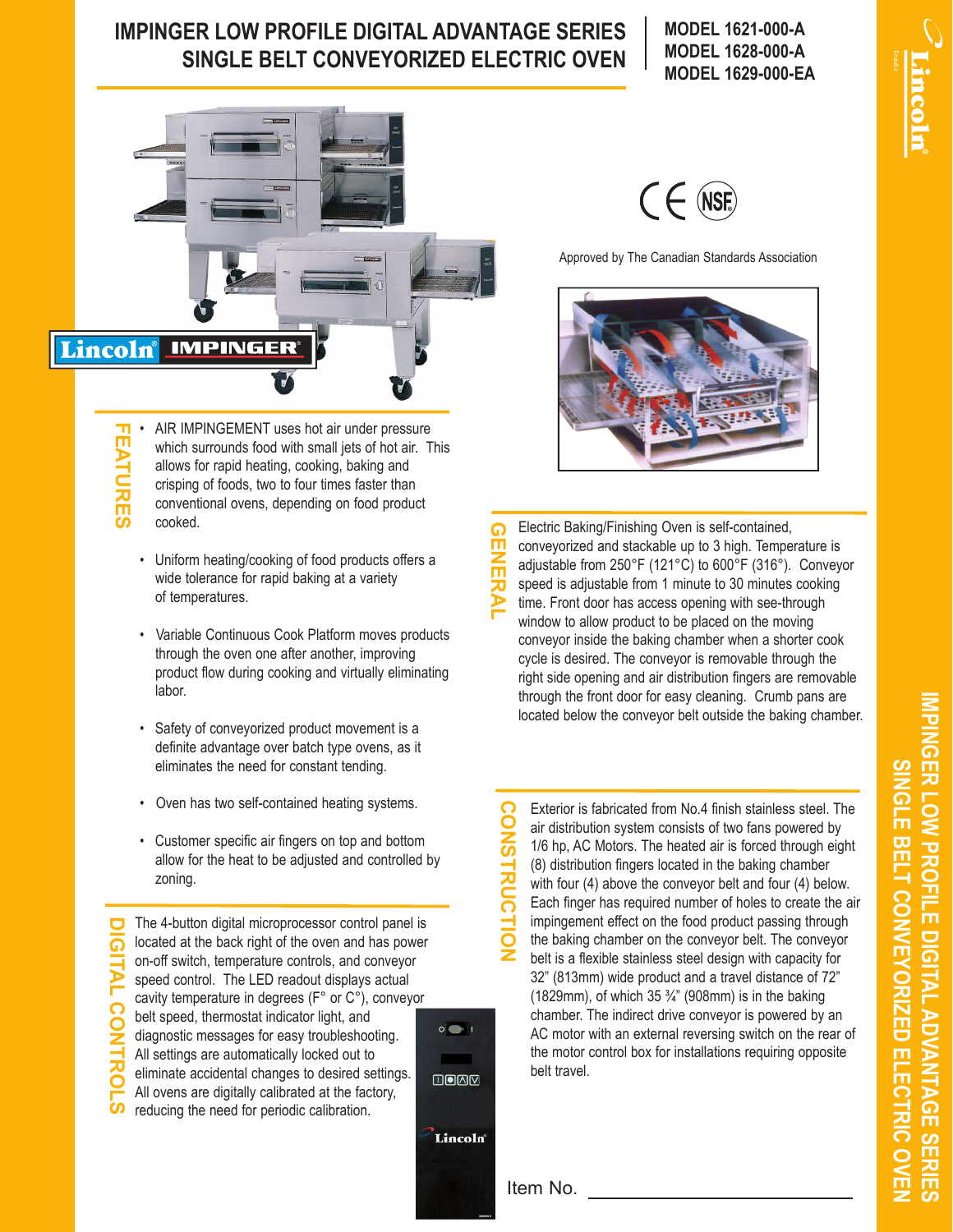## **IMPINGER LOW PROFILE DIGITAL ADVANTAGE SERIES SINGLE BELT CONVEYORIZED ELECTRIC OVEN**

**MODEL 1621-000-A MODEL 1628-000-A MODEL 1629-000-EA**



**FEATURES FEATURES** AIR IMPINGEMENT uses hot air under pressure which surrounds food with small jets of hot air. This allows for rapid heating, cooking, baking and crisping of foods, two to four times faster than conventional ovens, depending on food product cooked.

- Uniform heating/cooking of food products offers a wide tolerance for rapid baking at a variety of temperatures.
- Variable Continuous Cook Platform moves products through the oven one after another, improving product flow during cooking and virtually eliminating labor.
- Safety of conveyorized product movement is a definite advantage over batch type ovens, as it eliminates the need for constant tending.
- Oven has two self-contained heating systems.
- Customer specific air fingers on top and bottom allow for the heat to be adjusted and controlled by zoning.

The 4-button digital microprocessor control panel is **DIGITAL CONTROLS** located at the back right of the oven and has power on-off switch, temperature controls, and conveyor speed control. The LED readout displays actual cavity temperature in degrees (F° or C°), conveyor belt speed, thermostat indicator light, and  $\circ$   $\circ$   $\circ$ diagnostic messages for easy troubleshooting. All settings are automatically locked out to eliminate accidental changes to desired settings.  $U$   $O$   $N$ All ovens are digitally calibrated at the factory, reducing the need for periodic calibration.

**NSF** 

Approved by The Canadian Standards Association



Electric Baking/Finishing Oven is self-contained, ດ **GENERAL** conveyorized and stackable up to 3 high. Temperature is adjustable from 250°F (121°C) to 600°F (316°). Conveyor speed is adjustable from 1 minute to 30 minutes cooking time. Front door has access opening with see-through window to allow product to be placed on the moving conveyor inside the baking chamber when a shorter cook cycle is desired. The conveyor is removable through the right side opening and air distribution fingers are removable through the front door for easy cleaning. Crumb pans are located below the conveyor belt outside the baking chamber.

**CONSTRUCTION** CONS **TRUC** Ë ž

Exterior is fabricated from No.4 finish stainless steel. The air distribution system consists of two fans powered by 1/6 hp, AC Motors. The heated air is forced through eight (8) distribution fingers located in the baking chamber with four (4) above the conveyor belt and four (4) below. Each finger has required number of holes to create the air impingement effect on the food product passing through the baking chamber on the conveyor belt. The conveyor belt is a flexible stainless steel design with capacity for 32" (813mm) wide product and a travel distance of 72" (1829mm), of which 35  $\frac{3}{4}$ " (908mm) is in the baking chamber. The indirect drive conveyor is powered by an AC motor with an external reversing switch on the rear of the motor control box for installations requiring opposite belt travel.

Item No.

Lincoln®